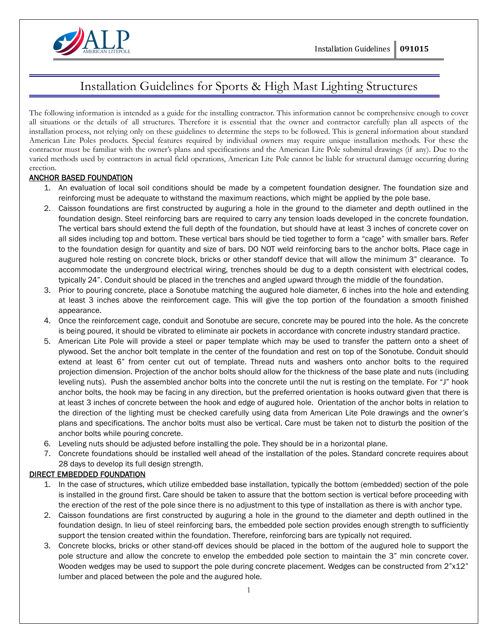

# Installation Guidelines for Sports & High Mast Lighting Structures

The following information is intended as a guide for the installing contractor. This information cannot be comprehensive enough to cover all situations or the details of all structures. Therefore it is essential that the owner and contractor carefully plan all aspects of the installation process, not relying only on these guidelines to determine the steps to be followed. This is general information about standard American Lite Poles products. Special features required by individual owners may require unique installation methods. For these the contractor must be familiar with the owner's plans and specifications and the American Lite Pole submittal drawings (if any). Due to the varied methods used by contractors in actual field operations, American Lite Pole cannot be liable for structural damage occurring during erection.

## ANCHOR BASED FOUNDATION

- 1. An evaluation of local soil conditions should be made by a competent foundation designer. The foundation size and reinforcing must be adequate to withstand the maximum reactions, which might be applied by the pole base.
- 2. Caisson foundations are first constructed by auguring a hole in the ground to the diameter and depth outlined in the foundation design. Steel reinforcing bars are required to carry any tension loads developed in the concrete foundation. The vertical bars should extend the full depth of the foundation, but should have at least 3 inches of concrete cover on all sides including top and bottom. These vertical bars should be tied together to form a "cage" with smaller bars. Refer to the foundation design for quantity and size of bars. DO NOT weld reinforcing bars to the anchor bolts. Place cage in augured hole resting on concrete block, bricks or other standoff device that will allow the minimum 3" clearance. To accommodate the underground electrical wiring, trenches should be dug to a depth consistent with electrical codes, typically 24". Conduit should be placed in the trenches and angled upward through the middle of the foundation.
- 3. Prior to pouring concrete, place a Sonotube matching the augured hole diameter, 6 inches into the hole and extending at least 3 inches above the reinforcement cage. This will give the top portion of the foundation a smooth finished appearance.
- 4. Once the reinforcement cage, conduit and Sonotube are secure, concrete may be poured into the hole. As the concrete is being poured, it should be vibrated to eliminate air pockets in accordance with concrete industry standard practice.
- 5. American Lite Pole will provide a steel or paper template which may be used to transfer the pattern onto a sheet of plywood. Set the anchor bolt template in the center of the foundation and rest on top of the Sonotube. Conduit should extend at least 6" from center cut out of template. Thread nuts and washers onto anchor bolts to the required projection dimension. Projection of the anchor bolts should allow for the thickness of the base plate and nuts (including leveling nuts). Push the assembled anchor bolts into the concrete until the nut is resting on the template. For "J" hook anchor bolts, the hook may be facing in any direction, but the preferred orientation is hooks outward given that there is at least 3 inches of concrete between the hook and edge of augured hole. Orientation of the anchor bolts in relation to the direction of the lighting must be checked carefully using data from American Lite Pole drawings and the owner's plans and specifications. The anchor bolts must also be vertical. Care must be taken not to disturb the position of the anchor bolts while pouring concrete.
- 6. Leveling nuts should be adjusted before installing the pole. They should be in a horizontal plane.
- 7. Concrete foundations should be installed well ahead of the installation of the poles. Standard concrete requires about 28 days to develop its full design strength.

#### DIRECT EMBEDDED FOUNDATION

- 1. In the case of structures, which utilize embedded base installation, typically the bottom (embedded) section of the pole is installed in the ground first. Care should be taken to assure that the bottom section is vertical before proceeding with the erection of the rest of the pole since there is no adjustment to this type of installation as there is with anchor type.
- 2. Caisson foundations are first constructed by auguring a hole in the ground to the diameter and depth outlined in the foundation design. In lieu of steel reinforcing bars, the embedded pole section provides enough strength to sufficiently support the tension created within the foundation. Therefore, reinforcing bars are typically not required.
- 3. Concrete blocks, bricks or other stand-off devices should be placed in the bottom of the augured hole to support the pole structure and allow the concrete to envelop the embedded pole section to maintain the 3" min concrete cover. Wooden wedges may be used to support the pole during concrete placement. Wedges can be constructed from 2"x12" lumber and placed between the pole and the augured hole.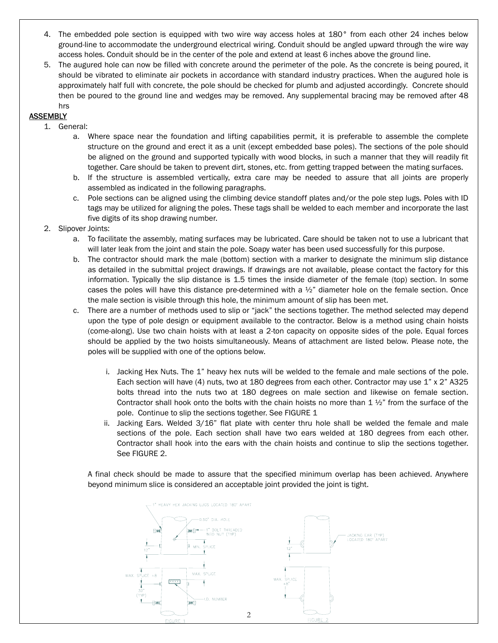- 4. The embedded pole section is equipped with two wire way access holes at 180° from each other 24 inches below ground-line to accommodate the underground electrical wiring. Conduit should be angled upward through the wire way access holes. Conduit should be in the center of the pole and extend at least 6 inches above the ground line.
- 5. The augured hole can now be filled with concrete around the perimeter of the pole. As the concrete is being poured, it should be vibrated to eliminate air pockets in accordance with standard industry practices. When the augured hole is approximately half full with concrete, the pole should be checked for plumb and adjusted accordingly. Concrete should then be poured to the ground line and wedges may be removed. Any supplemental bracing may be removed after 48 hrs

# **ASSEMBLY**

- 1. General:
	- a. Where space near the foundation and lifting capabilities permit, it is preferable to assemble the complete structure on the ground and erect it as a unit (except embedded base poles). The sections of the pole should be aligned on the ground and supported typically with wood blocks, in such a manner that they will readily fit together. Care should be taken to prevent dirt, stones, etc. from getting trapped between the mating surfaces.
	- b. If the structure is assembled vertically, extra care may be needed to assure that all joints are properly assembled as indicated in the following paragraphs.
	- c. Pole sections can be aligned using the climbing device standoff plates and/or the pole step lugs. Poles with ID tags may be utilized for aligning the poles. These tags shall be welded to each member and incorporate the last five digits of its shop drawing number.
- 2. Slipover Joints:
	- a. To facilitate the assembly, mating surfaces may be lubricated. Care should be taken not to use a lubricant that will later leak from the joint and stain the pole. Soapy water has been used successfully for this purpose.
	- b. The contractor should mark the male (bottom) section with a marker to designate the minimum slip distance as detailed in the submittal project drawings. If drawings are not available, please contact the factory for this information. Typically the slip distance is 1.5 times the inside diameter of the female (top) section. In some cases the poles will have this distance pre-determined with a ½" diameter hole on the female section. Once the male section is visible through this hole, the minimum amount of slip has been met.
	- c. There are a number of methods used to slip or "jack" the sections together. The method selected may depend upon the type of pole design or equipment available to the contractor. Below is a method using chain hoists (come-along). Use two chain hoists with at least a 2-ton capacity on opposite sides of the pole. Equal forces should be applied by the two hoists simultaneously. Means of attachment are listed below. Please note, the poles will be supplied with one of the options below.
		- i. Jacking Hex Nuts. The 1" heavy hex nuts will be welded to the female and male sections of the pole. Each section will have (4) nuts, two at 180 degrees from each other. Contractor may use 1" x 2" A325 bolts thread into the nuts two at 180 degrees on male section and likewise on female section. Contractor shall hook onto the bolts with the chain hoists no more than  $1\frac{1}{2}$ " from the surface of the pole. Continue to slip the sections together. See FIGURE 1
		- ii. Jacking Ears. Welded 3/16" flat plate with center thru hole shall be welded the female and male sections of the pole. Each section shall have two ears welded at 180 degrees from each other. Contractor shall hook into the ears with the chain hoists and continue to slip the sections together. See FIGURE 2.

A final check should be made to assure that the specified minimum overlap has been achieved. Anywhere beyond minimum slice is considered an acceptable joint provided the joint is tight.

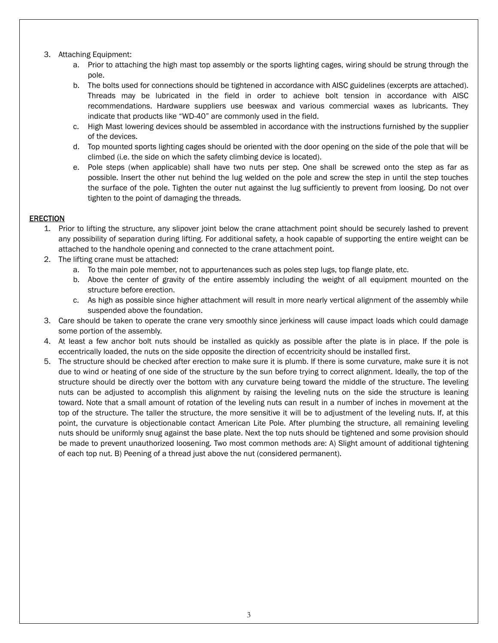## 3. Attaching Equipment:

- a. Prior to attaching the high mast top assembly or the sports lighting cages, wiring should be strung through the pole.
- b. The bolts used for connections should be tightened in accordance with AISC guidelines (excerpts are attached). Threads may be lubricated in the field in order to achieve bolt tension in accordance with AISC recommendations. Hardware suppliers use beeswax and various commercial waxes as lubricants. They indicate that products like "WD-40" are commonly used in the field.
- c. High Mast lowering devices should be assembled in accordance with the instructions furnished by the supplier of the devices.
- d. Top mounted sports lighting cages should be oriented with the door opening on the side of the pole that will be climbed (i.e. the side on which the safety climbing device is located).
- e. Pole steps (when applicable) shall have two nuts per step. One shall be screwed onto the step as far as possible. Insert the other nut behind the lug welded on the pole and screw the step in until the step touches the surface of the pole. Tighten the outer nut against the lug sufficiently to prevent from loosing. Do not over tighten to the point of damaging the threads.

# ERECTION

- 1. Prior to lifting the structure, any slipover joint below the crane attachment point should be securely lashed to prevent any possibility of separation during lifting. For additional safety, a hook capable of supporting the entire weight can be attached to the handhole opening and connected to the crane attachment point.
- 2. The lifting crane must be attached:
	- a. To the main pole member, not to appurtenances such as poles step lugs, top flange plate, etc.
	- b. Above the center of gravity of the entire assembly including the weight of all equipment mounted on the structure before erection.
	- c. As high as possible since higher attachment will result in more nearly vertical alignment of the assembly while suspended above the foundation.
- 3. Care should be taken to operate the crane very smoothly since jerkiness will cause impact loads which could damage some portion of the assembly.
- 4. At least a few anchor bolt nuts should be installed as quickly as possible after the plate is in place. If the pole is eccentrically loaded, the nuts on the side opposite the direction of eccentricity should be installed first.
- 5. The structure should be checked after erection to make sure it is plumb. If there is some curvature, make sure it is not due to wind or heating of one side of the structure by the sun before trying to correct alignment. Ideally, the top of the structure should be directly over the bottom with any curvature being toward the middle of the structure. The leveling nuts can be adjusted to accomplish this alignment by raising the leveling nuts on the side the structure is leaning toward. Note that a small amount of rotation of the leveling nuts can result in a number of inches in movement at the top of the structure. The taller the structure, the more sensitive it will be to adjustment of the leveling nuts. If, at this point, the curvature is objectionable contact American Lite Pole. After plumbing the structure, all remaining leveling nuts should be uniformly snug against the base plate. Next the top nuts should be tightened and some provision should be made to prevent unauthorized loosening. Two most common methods are: A) Slight amount of additional tightening of each top nut. B) Peening of a thread just above the nut (considered permanent).